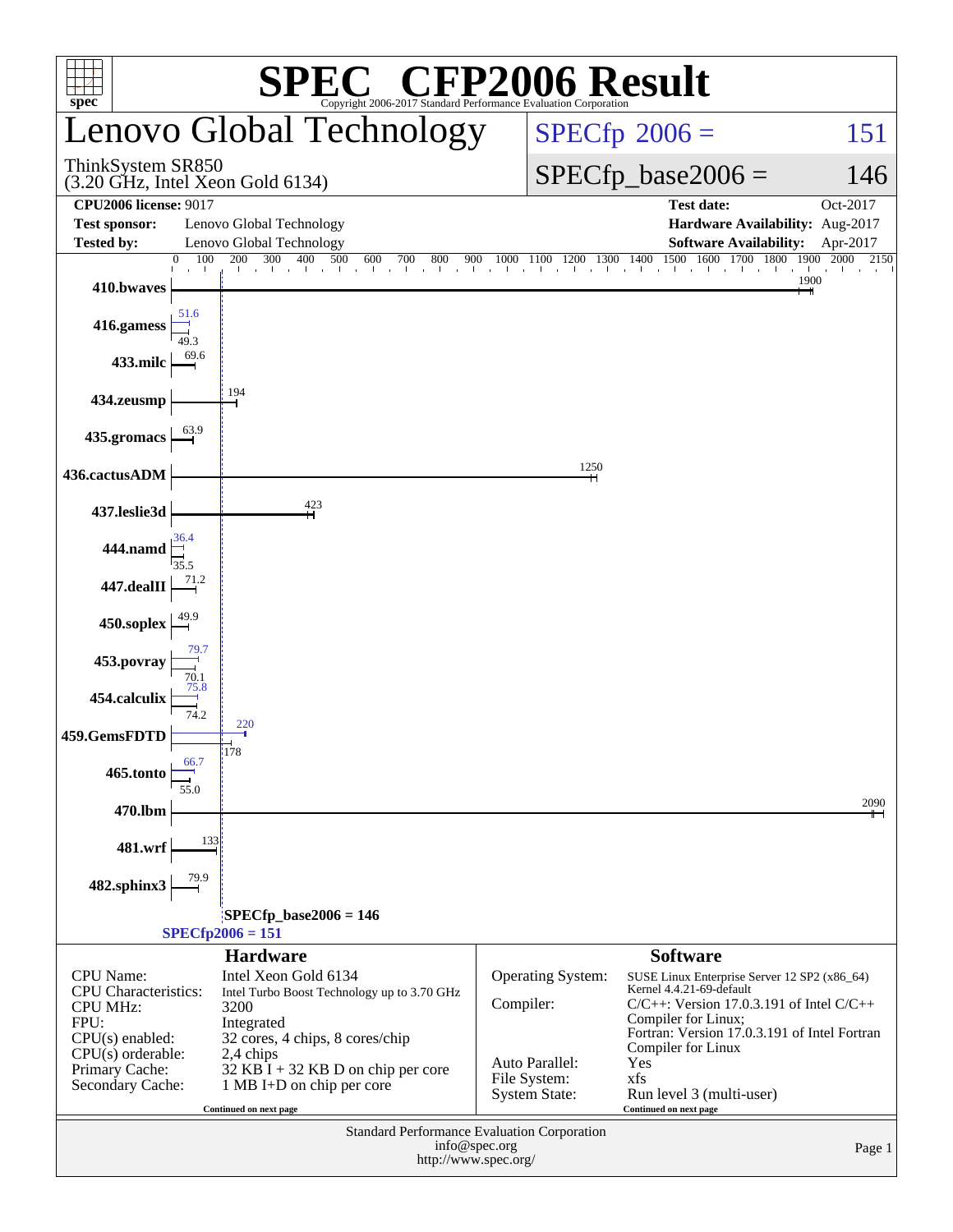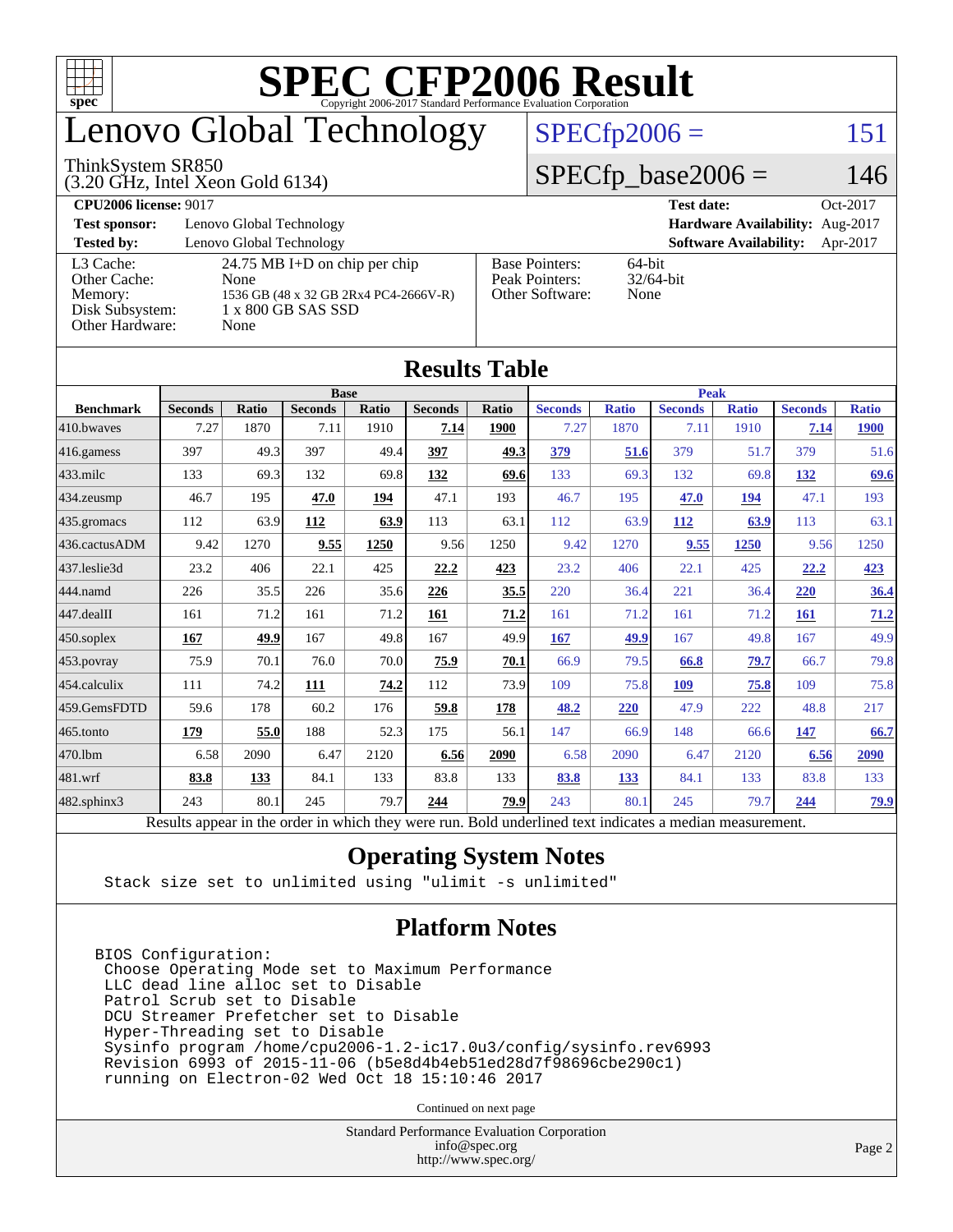

# enovo Global Technology

#### ThinkSystem SR850

(3.20 GHz, Intel Xeon Gold 6134)

 $SPECfp2006 = 151$  $SPECfp2006 = 151$ 

### $SPECfp\_base2006 = 146$

**[CPU2006 license:](http://www.spec.org/auto/cpu2006/Docs/result-fields.html#CPU2006license)** 9017 **[Test date:](http://www.spec.org/auto/cpu2006/Docs/result-fields.html#Testdate)** Oct-2017 **[Test sponsor:](http://www.spec.org/auto/cpu2006/Docs/result-fields.html#Testsponsor)** Lenovo Global Technology **[Hardware Availability:](http://www.spec.org/auto/cpu2006/Docs/result-fields.html#HardwareAvailability)** Aug-2017 **[Tested by:](http://www.spec.org/auto/cpu2006/Docs/result-fields.html#Testedby)** Lenovo Global Technology **[Software Availability:](http://www.spec.org/auto/cpu2006/Docs/result-fields.html#SoftwareAvailability)** Apr-2017 [L3 Cache:](http://www.spec.org/auto/cpu2006/Docs/result-fields.html#L3Cache) 24.75 MB I+D on chip per chip<br>Other Cache: None [Other Cache:](http://www.spec.org/auto/cpu2006/Docs/result-fields.html#OtherCache) [Memory:](http://www.spec.org/auto/cpu2006/Docs/result-fields.html#Memory) 1536 GB (48 x 32 GB 2Rx4 PC4-2666V-R) [Disk Subsystem:](http://www.spec.org/auto/cpu2006/Docs/result-fields.html#DiskSubsystem) 1 x 800 GB SAS SSD [Other Hardware:](http://www.spec.org/auto/cpu2006/Docs/result-fields.html#OtherHardware) None [Base Pointers:](http://www.spec.org/auto/cpu2006/Docs/result-fields.html#BasePointers) 64-bit<br>Peak Pointers: 32/64-bit [Peak Pointers:](http://www.spec.org/auto/cpu2006/Docs/result-fields.html#PeakPointers) [Other Software:](http://www.spec.org/auto/cpu2006/Docs/result-fields.html#OtherSoftware) None

| <b>Results Table</b> |                                                                                                          |              |                |       |                |       |                |              |                |              |                |              |
|----------------------|----------------------------------------------------------------------------------------------------------|--------------|----------------|-------|----------------|-------|----------------|--------------|----------------|--------------|----------------|--------------|
|                      |                                                                                                          | <b>Peak</b>  |                |       |                |       |                |              |                |              |                |              |
| <b>Benchmark</b>     | <b>Seconds</b>                                                                                           | <b>Ratio</b> | <b>Seconds</b> | Ratio | <b>Seconds</b> | Ratio | <b>Seconds</b> | <b>Ratio</b> | <b>Seconds</b> | <b>Ratio</b> | <b>Seconds</b> | <b>Ratio</b> |
| 410.bwayes           | 7.27                                                                                                     | 1870         | 7.11           | 1910  | 7.14           | 1900  | 7.27           | 1870         | 7.11           | 1910         | 7.14           | <b>1900</b>  |
| $416$ .gamess        | 397                                                                                                      | 49.3         | 397            | 49.4  | 397            | 49.3  | 379            | 51.6         | 379            | 51.7         | 379            | 51.6         |
| 433.milc             | 133                                                                                                      | 69.3         | 132            | 69.8  | 132            | 69.6  | 133            | 69.3         | 132            | 69.8         | 132            | 69.6         |
| 434.zeusmp           | 46.7                                                                                                     | 195          | 47.0           | 194   | 47.1           | 193   | 46.7           | 195          | 47.0           | 194          | 47.1           | 193          |
| 435.gromacs          | 112                                                                                                      | 63.9         | 112            | 63.9  | 113            | 63.1  | 112            | 63.9         | 112            | 63.9         | 113            | 63.1         |
| 436.cactusADM        | 9.42                                                                                                     | 1270         | 9.55           | 1250  | 9.56           | 1250  | 9.42           | 1270         | 9.55           | 1250         | 9.56           | 1250         |
| 437.leslie3d         | 23.2                                                                                                     | 406          | 22.1           | 425   | 22.2           | 423   | 23.2           | 406          | 22.1           | 425          | 22.2           | 423          |
| 444.namd             | 226                                                                                                      | 35.5         | 226            | 35.6  | 226            | 35.5  | 220            | 36.4         | 221            | 36.4         | 220            | 36.4         |
| $447$ .dealII        | 161                                                                                                      | 71.2         | 161            | 71.2  | 161            | 71.2  | 161            | 71.2         | 161            | 71.2         | <b>161</b>     | 71.2         |
| $450$ .soplex        | 167                                                                                                      | 49.9         | 167            | 49.8  | 167            | 49.9  | 167            | 49.9         | 167            | 49.8         | 167            | 49.9         |
| $453$ .povray        | 75.9                                                                                                     | 70.1         | 76.0           | 70.0  | 75.9           | 70.1  | 66.9           | 79.5         | 66.8           | 79.7         | 66.7           | 79.8         |
| 454.calculix         | 111                                                                                                      | 74.2         | 111            | 74.2  | 112            | 73.9  | 109            | 75.8         | 109            | 75.8         | 109            | 75.8         |
| 459.GemsFDTD         | 59.6                                                                                                     | 178          | 60.2           | 176   | 59.8           | 178   | 48.2           | 220          | 47.9           | 222          | 48.8           | 217          |
| $465$ .tonto         | 179                                                                                                      | 55.0         | 188            | 52.3  | 175            | 56.1  | 147            | 66.9         | 148            | 66.6         | 147            | 66.7         |
| 470.1bm              | 6.58                                                                                                     | 2090         | 6.47           | 2120  | 6.56           | 2090  | 6.58           | 2090         | 6.47           | 2120         | 6.56           | 2090         |
| 481.wrf              | 83.8                                                                                                     | 133          | 84.1           | 133   | 83.8           | 133   | 83.8           | 133          | 84.1           | 133          | 83.8           | 133          |
| $482$ .sphinx $3$    | 243                                                                                                      | 80.1         | 245            | 79.7  | 244            | 79.9  | 243            | 80.1         | 245            | 79.7         | 244            | <u>79.9</u>  |
|                      | Results appear in the order in which they were run. Bold underlined text indicates a median measurement. |              |                |       |                |       |                |              |                |              |                |              |

### **[Operating System Notes](http://www.spec.org/auto/cpu2006/Docs/result-fields.html#OperatingSystemNotes)**

Stack size set to unlimited using "ulimit -s unlimited"

### **[Platform Notes](http://www.spec.org/auto/cpu2006/Docs/result-fields.html#PlatformNotes)**

BIOS Configuration: Choose Operating Mode set to Maximum Performance LLC dead line alloc set to Disable Patrol Scrub set to Disable DCU Streamer Prefetcher set to Disable Hyper-Threading set to Disable Sysinfo program /home/cpu2006-1.2-ic17.0u3/config/sysinfo.rev6993 Revision 6993 of 2015-11-06 (b5e8d4b4eb51ed28d7f98696cbe290c1) running on Electron-02 Wed Oct 18 15:10:46 2017

Continued on next page

Standard Performance Evaluation Corporation [info@spec.org](mailto:info@spec.org) <http://www.spec.org/>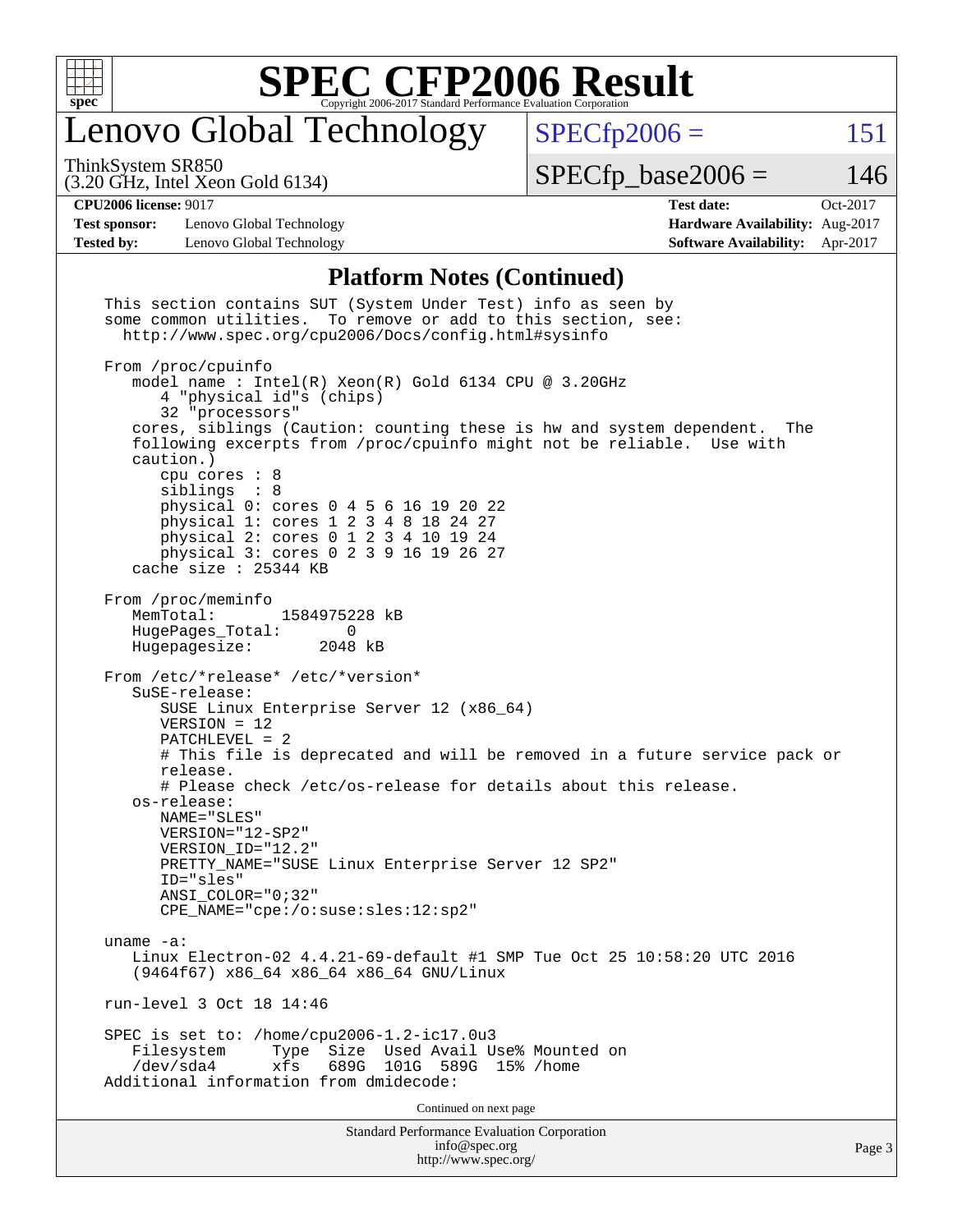

# enovo Global Technology

ThinkSystem SR850

 $SPECTp2006 = 151$ 

(3.20 GHz, Intel Xeon Gold 6134)

 $SPECTp\_base2006 = 146$ 

**[CPU2006 license:](http://www.spec.org/auto/cpu2006/Docs/result-fields.html#CPU2006license)** 9017 **[Test date:](http://www.spec.org/auto/cpu2006/Docs/result-fields.html#Testdate)** Oct-2017

**[Test sponsor:](http://www.spec.org/auto/cpu2006/Docs/result-fields.html#Testsponsor)** Lenovo Global Technology **[Hardware Availability:](http://www.spec.org/auto/cpu2006/Docs/result-fields.html#HardwareAvailability)** Aug-2017 **[Tested by:](http://www.spec.org/auto/cpu2006/Docs/result-fields.html#Testedby)** Lenovo Global Technology **[Software Availability:](http://www.spec.org/auto/cpu2006/Docs/result-fields.html#SoftwareAvailability)** Apr-2017

### **[Platform Notes \(Continued\)](http://www.spec.org/auto/cpu2006/Docs/result-fields.html#PlatformNotes)**

Standard Performance Evaluation Corporation [info@spec.org](mailto:info@spec.org) <http://www.spec.org/> Page 3 This section contains SUT (System Under Test) info as seen by some common utilities. To remove or add to this section, see: <http://www.spec.org/cpu2006/Docs/config.html#sysinfo> From /proc/cpuinfo model name : Intel(R) Xeon(R) Gold 6134 CPU @ 3.20GHz 4 "physical id"s (chips) 32 "processors" cores, siblings (Caution: counting these is hw and system dependent. The following excerpts from /proc/cpuinfo might not be reliable. Use with caution.) cpu cores : 8 siblings physical 0: cores 0 4 5 6 16 19 20 22 physical 1: cores 1 2 3 4 8 18 24 27 physical 2: cores 0 1 2 3 4 10 19 24 physical 3: cores 0 2 3 9 16 19 26 27 cache size : 25344 KB From /proc/meminfo MemTotal: 1584975228 kB HugePages\_Total: 0<br>Hugepagesize: 2048 kB Hugepagesize: From /etc/\*release\* /etc/\*version\* SuSE-release: SUSE Linux Enterprise Server 12 (x86\_64) VERSION = 12 PATCHLEVEL = 2 # This file is deprecated and will be removed in a future service pack or release. # Please check /etc/os-release for details about this release. os-release: NAME="SLES" VERSION="12-SP2" VERSION\_ID="12.2" PRETTY\_NAME="SUSE Linux Enterprise Server 12 SP2" ID="sles" ANSI\_COLOR="0;32" CPE\_NAME="cpe:/o:suse:sles:12:sp2" uname -a: Linux Electron-02 4.4.21-69-default #1 SMP Tue Oct 25 10:58:20 UTC 2016 (9464f67) x86\_64 x86\_64 x86\_64 GNU/Linux run-level 3 Oct 18 14:46 SPEC is set to: /home/cpu2006-1.2-ic17.0u3 Filesystem Type Size Used Avail Use% Mounted on /dev/sda4 xfs 689G 101G 589G 15% /home Additional information from dmidecode: Continued on next page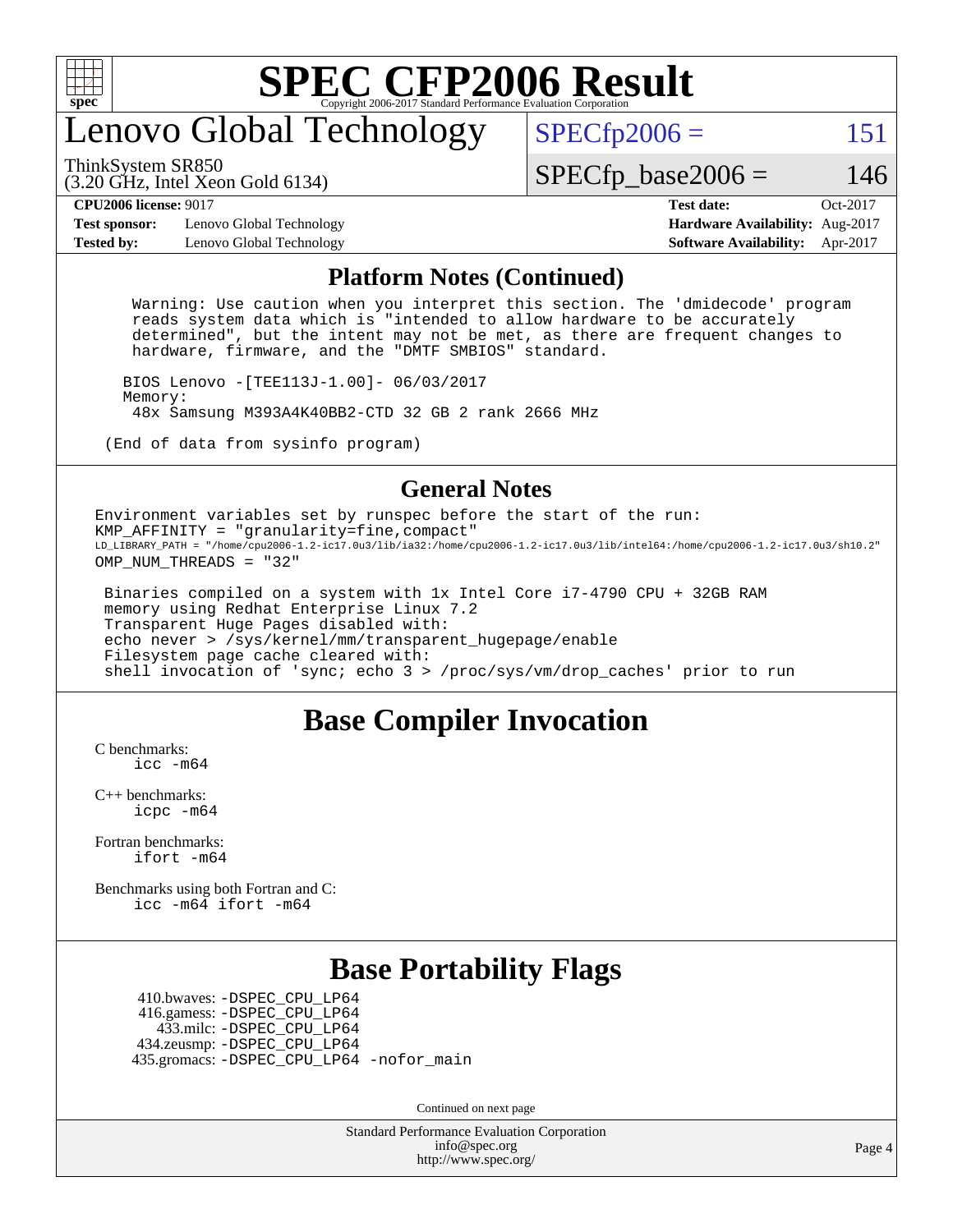

# enovo Global Technology

 $SPECTp2006 = 151$ 

(3.20 GHz, Intel Xeon Gold 6134) ThinkSystem SR850

 $SPECTp\_base2006 = 146$ 

**[CPU2006 license:](http://www.spec.org/auto/cpu2006/Docs/result-fields.html#CPU2006license)** 9017 **[Test date:](http://www.spec.org/auto/cpu2006/Docs/result-fields.html#Testdate)** Oct-2017

**[Test sponsor:](http://www.spec.org/auto/cpu2006/Docs/result-fields.html#Testsponsor)** Lenovo Global Technology **[Hardware Availability:](http://www.spec.org/auto/cpu2006/Docs/result-fields.html#HardwareAvailability)** Aug-2017 **[Tested by:](http://www.spec.org/auto/cpu2006/Docs/result-fields.html#Testedby)** Lenovo Global Technology **[Software Availability:](http://www.spec.org/auto/cpu2006/Docs/result-fields.html#SoftwareAvailability)** Apr-2017

#### **[Platform Notes \(Continued\)](http://www.spec.org/auto/cpu2006/Docs/result-fields.html#PlatformNotes)**

 Warning: Use caution when you interpret this section. The 'dmidecode' program reads system data which is "intended to allow hardware to be accurately determined", but the intent may not be met, as there are frequent changes to hardware, firmware, and the "DMTF SMBIOS" standard.

 BIOS Lenovo -[TEE113J-1.00]- 06/03/2017 Memory: 48x Samsung M393A4K40BB2-CTD 32 GB 2 rank 2666 MHz

(End of data from sysinfo program)

#### **[General Notes](http://www.spec.org/auto/cpu2006/Docs/result-fields.html#GeneralNotes)**

Environment variables set by runspec before the start of the run: KMP\_AFFINITY = "granularity=fine,compact" LD\_LIBRARY\_PATH = "/home/cpu2006-1.2-ic17.0u3/lib/ia32:/home/cpu2006-1.2-ic17.0u3/lib/intel64:/home/cpu2006-1.2-ic17.0u3/sh10.2" OMP NUM THREADS = "32"

 Binaries compiled on a system with 1x Intel Core i7-4790 CPU + 32GB RAM memory using Redhat Enterprise Linux 7.2 Transparent Huge Pages disabled with: echo never > /sys/kernel/mm/transparent\_hugepage/enable Filesystem page cache cleared with: shell invocation of 'sync; echo 3 > /proc/sys/vm/drop\_caches' prior to run

## **[Base Compiler Invocation](http://www.spec.org/auto/cpu2006/Docs/result-fields.html#BaseCompilerInvocation)**

[C benchmarks](http://www.spec.org/auto/cpu2006/Docs/result-fields.html#Cbenchmarks): [icc -m64](http://www.spec.org/cpu2006/results/res2017q4/cpu2006-20171211-51112.flags.html#user_CCbase_intel_icc_64bit_bda6cc9af1fdbb0edc3795bac97ada53)

[C++ benchmarks:](http://www.spec.org/auto/cpu2006/Docs/result-fields.html#CXXbenchmarks) [icpc -m64](http://www.spec.org/cpu2006/results/res2017q4/cpu2006-20171211-51112.flags.html#user_CXXbase_intel_icpc_64bit_fc66a5337ce925472a5c54ad6a0de310)

[Fortran benchmarks](http://www.spec.org/auto/cpu2006/Docs/result-fields.html#Fortranbenchmarks): [ifort -m64](http://www.spec.org/cpu2006/results/res2017q4/cpu2006-20171211-51112.flags.html#user_FCbase_intel_ifort_64bit_ee9d0fb25645d0210d97eb0527dcc06e)

[Benchmarks using both Fortran and C](http://www.spec.org/auto/cpu2006/Docs/result-fields.html#BenchmarksusingbothFortranandC): [icc -m64](http://www.spec.org/cpu2006/results/res2017q4/cpu2006-20171211-51112.flags.html#user_CC_FCbase_intel_icc_64bit_bda6cc9af1fdbb0edc3795bac97ada53) [ifort -m64](http://www.spec.org/cpu2006/results/res2017q4/cpu2006-20171211-51112.flags.html#user_CC_FCbase_intel_ifort_64bit_ee9d0fb25645d0210d97eb0527dcc06e)

## **[Base Portability Flags](http://www.spec.org/auto/cpu2006/Docs/result-fields.html#BasePortabilityFlags)**

 410.bwaves: [-DSPEC\\_CPU\\_LP64](http://www.spec.org/cpu2006/results/res2017q4/cpu2006-20171211-51112.flags.html#suite_basePORTABILITY410_bwaves_DSPEC_CPU_LP64) 416.gamess: [-DSPEC\\_CPU\\_LP64](http://www.spec.org/cpu2006/results/res2017q4/cpu2006-20171211-51112.flags.html#suite_basePORTABILITY416_gamess_DSPEC_CPU_LP64) 433.milc: [-DSPEC\\_CPU\\_LP64](http://www.spec.org/cpu2006/results/res2017q4/cpu2006-20171211-51112.flags.html#suite_basePORTABILITY433_milc_DSPEC_CPU_LP64) 434.zeusmp: [-DSPEC\\_CPU\\_LP64](http://www.spec.org/cpu2006/results/res2017q4/cpu2006-20171211-51112.flags.html#suite_basePORTABILITY434_zeusmp_DSPEC_CPU_LP64) 435.gromacs: [-DSPEC\\_CPU\\_LP64](http://www.spec.org/cpu2006/results/res2017q4/cpu2006-20171211-51112.flags.html#suite_basePORTABILITY435_gromacs_DSPEC_CPU_LP64) [-nofor\\_main](http://www.spec.org/cpu2006/results/res2017q4/cpu2006-20171211-51112.flags.html#user_baseLDPORTABILITY435_gromacs_f-nofor_main)

Continued on next page

Standard Performance Evaluation Corporation [info@spec.org](mailto:info@spec.org) <http://www.spec.org/>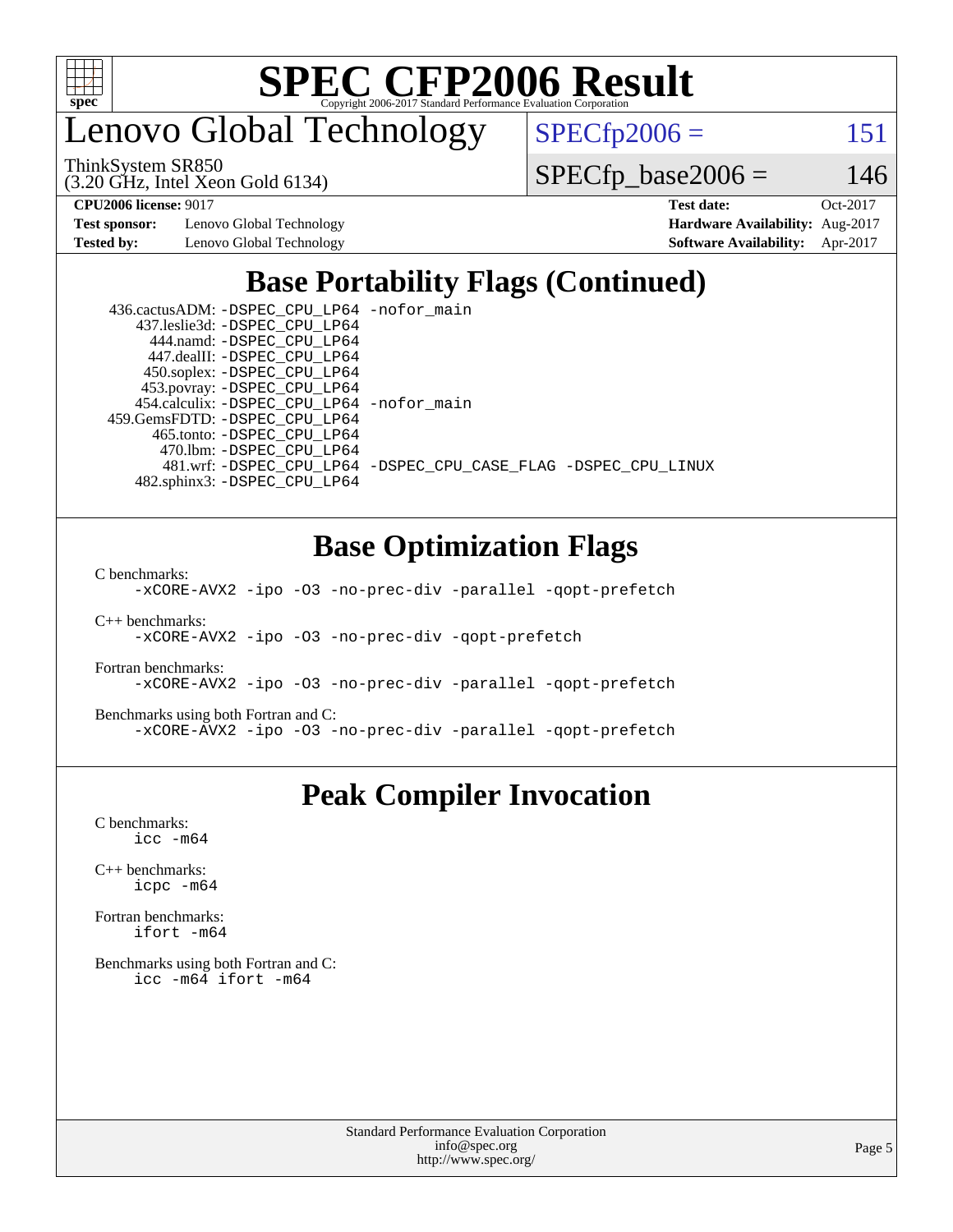

enovo Global Technology

ThinkSystem SR850

(3.20 GHz, Intel Xeon Gold 6134)

 $SPECTp2006 = 151$ 

 $SPECfp\_base2006 = 146$ 

**[Test sponsor:](http://www.spec.org/auto/cpu2006/Docs/result-fields.html#Testsponsor)** Lenovo Global Technology **[Hardware Availability:](http://www.spec.org/auto/cpu2006/Docs/result-fields.html#HardwareAvailability)** Aug-2017

**[CPU2006 license:](http://www.spec.org/auto/cpu2006/Docs/result-fields.html#CPU2006license)** 9017 **[Test date:](http://www.spec.org/auto/cpu2006/Docs/result-fields.html#Testdate)** Oct-2017 **[Tested by:](http://www.spec.org/auto/cpu2006/Docs/result-fields.html#Testedby)** Lenovo Global Technology **[Software Availability:](http://www.spec.org/auto/cpu2006/Docs/result-fields.html#SoftwareAvailability)** Apr-2017

## **[Base Portability Flags \(Continued\)](http://www.spec.org/auto/cpu2006/Docs/result-fields.html#BasePortabilityFlags)**

| 436.cactusADM: -DSPEC_CPU_LP64 -nofor main |                                                                |
|--------------------------------------------|----------------------------------------------------------------|
| 437.leslie3d: -DSPEC CPU LP64              |                                                                |
| 444.namd: -DSPEC CPU LP64                  |                                                                |
| 447.dealII: -DSPEC CPU LP64                |                                                                |
| 450.soplex: -DSPEC_CPU_LP64                |                                                                |
| 453.povray: -DSPEC_CPU_LP64                |                                                                |
| 454.calculix: -DSPEC_CPU_LP64 -nofor_main  |                                                                |
| 459.GemsFDTD: - DSPEC_CPU_LP64             |                                                                |
| 465.tonto: -DSPEC CPU LP64                 |                                                                |
| 470.1bm: - DSPEC CPU LP64                  |                                                                |
|                                            | 481.wrf: -DSPEC CPU_LP64 -DSPEC_CPU_CASE_FLAG -DSPEC_CPU_LINUX |
| 482.sphinx3: -DSPEC CPU LP64               |                                                                |

## **[Base Optimization Flags](http://www.spec.org/auto/cpu2006/Docs/result-fields.html#BaseOptimizationFlags)**

[C benchmarks](http://www.spec.org/auto/cpu2006/Docs/result-fields.html#Cbenchmarks):

[-xCORE-AVX2](http://www.spec.org/cpu2006/results/res2017q4/cpu2006-20171211-51112.flags.html#user_CCbase_f-xCORE-AVX2) [-ipo](http://www.spec.org/cpu2006/results/res2017q4/cpu2006-20171211-51112.flags.html#user_CCbase_f-ipo) [-O3](http://www.spec.org/cpu2006/results/res2017q4/cpu2006-20171211-51112.flags.html#user_CCbase_f-O3) [-no-prec-div](http://www.spec.org/cpu2006/results/res2017q4/cpu2006-20171211-51112.flags.html#user_CCbase_f-no-prec-div) [-parallel](http://www.spec.org/cpu2006/results/res2017q4/cpu2006-20171211-51112.flags.html#user_CCbase_f-parallel) [-qopt-prefetch](http://www.spec.org/cpu2006/results/res2017q4/cpu2006-20171211-51112.flags.html#user_CCbase_f-qopt-prefetch)

[C++ benchmarks:](http://www.spec.org/auto/cpu2006/Docs/result-fields.html#CXXbenchmarks) [-xCORE-AVX2](http://www.spec.org/cpu2006/results/res2017q4/cpu2006-20171211-51112.flags.html#user_CXXbase_f-xCORE-AVX2) [-ipo](http://www.spec.org/cpu2006/results/res2017q4/cpu2006-20171211-51112.flags.html#user_CXXbase_f-ipo) [-O3](http://www.spec.org/cpu2006/results/res2017q4/cpu2006-20171211-51112.flags.html#user_CXXbase_f-O3) [-no-prec-div](http://www.spec.org/cpu2006/results/res2017q4/cpu2006-20171211-51112.flags.html#user_CXXbase_f-no-prec-div) [-qopt-prefetch](http://www.spec.org/cpu2006/results/res2017q4/cpu2006-20171211-51112.flags.html#user_CXXbase_f-qopt-prefetch)

[Fortran benchmarks](http://www.spec.org/auto/cpu2006/Docs/result-fields.html#Fortranbenchmarks): [-xCORE-AVX2](http://www.spec.org/cpu2006/results/res2017q4/cpu2006-20171211-51112.flags.html#user_FCbase_f-xCORE-AVX2) [-ipo](http://www.spec.org/cpu2006/results/res2017q4/cpu2006-20171211-51112.flags.html#user_FCbase_f-ipo) [-O3](http://www.spec.org/cpu2006/results/res2017q4/cpu2006-20171211-51112.flags.html#user_FCbase_f-O3) [-no-prec-div](http://www.spec.org/cpu2006/results/res2017q4/cpu2006-20171211-51112.flags.html#user_FCbase_f-no-prec-div) [-parallel](http://www.spec.org/cpu2006/results/res2017q4/cpu2006-20171211-51112.flags.html#user_FCbase_f-parallel) [-qopt-prefetch](http://www.spec.org/cpu2006/results/res2017q4/cpu2006-20171211-51112.flags.html#user_FCbase_f-qopt-prefetch)

[Benchmarks using both Fortran and C](http://www.spec.org/auto/cpu2006/Docs/result-fields.html#BenchmarksusingbothFortranandC): [-xCORE-AVX2](http://www.spec.org/cpu2006/results/res2017q4/cpu2006-20171211-51112.flags.html#user_CC_FCbase_f-xCORE-AVX2) [-ipo](http://www.spec.org/cpu2006/results/res2017q4/cpu2006-20171211-51112.flags.html#user_CC_FCbase_f-ipo) [-O3](http://www.spec.org/cpu2006/results/res2017q4/cpu2006-20171211-51112.flags.html#user_CC_FCbase_f-O3) [-no-prec-div](http://www.spec.org/cpu2006/results/res2017q4/cpu2006-20171211-51112.flags.html#user_CC_FCbase_f-no-prec-div) [-parallel](http://www.spec.org/cpu2006/results/res2017q4/cpu2006-20171211-51112.flags.html#user_CC_FCbase_f-parallel) [-qopt-prefetch](http://www.spec.org/cpu2006/results/res2017q4/cpu2006-20171211-51112.flags.html#user_CC_FCbase_f-qopt-prefetch)

## **[Peak Compiler Invocation](http://www.spec.org/auto/cpu2006/Docs/result-fields.html#PeakCompilerInvocation)**

[C benchmarks](http://www.spec.org/auto/cpu2006/Docs/result-fields.html#Cbenchmarks): [icc -m64](http://www.spec.org/cpu2006/results/res2017q4/cpu2006-20171211-51112.flags.html#user_CCpeak_intel_icc_64bit_bda6cc9af1fdbb0edc3795bac97ada53)

[C++ benchmarks:](http://www.spec.org/auto/cpu2006/Docs/result-fields.html#CXXbenchmarks) [icpc -m64](http://www.spec.org/cpu2006/results/res2017q4/cpu2006-20171211-51112.flags.html#user_CXXpeak_intel_icpc_64bit_fc66a5337ce925472a5c54ad6a0de310)

[Fortran benchmarks](http://www.spec.org/auto/cpu2006/Docs/result-fields.html#Fortranbenchmarks): [ifort -m64](http://www.spec.org/cpu2006/results/res2017q4/cpu2006-20171211-51112.flags.html#user_FCpeak_intel_ifort_64bit_ee9d0fb25645d0210d97eb0527dcc06e)

[Benchmarks using both Fortran and C](http://www.spec.org/auto/cpu2006/Docs/result-fields.html#BenchmarksusingbothFortranandC): [icc -m64](http://www.spec.org/cpu2006/results/res2017q4/cpu2006-20171211-51112.flags.html#user_CC_FCpeak_intel_icc_64bit_bda6cc9af1fdbb0edc3795bac97ada53) [ifort -m64](http://www.spec.org/cpu2006/results/res2017q4/cpu2006-20171211-51112.flags.html#user_CC_FCpeak_intel_ifort_64bit_ee9d0fb25645d0210d97eb0527dcc06e)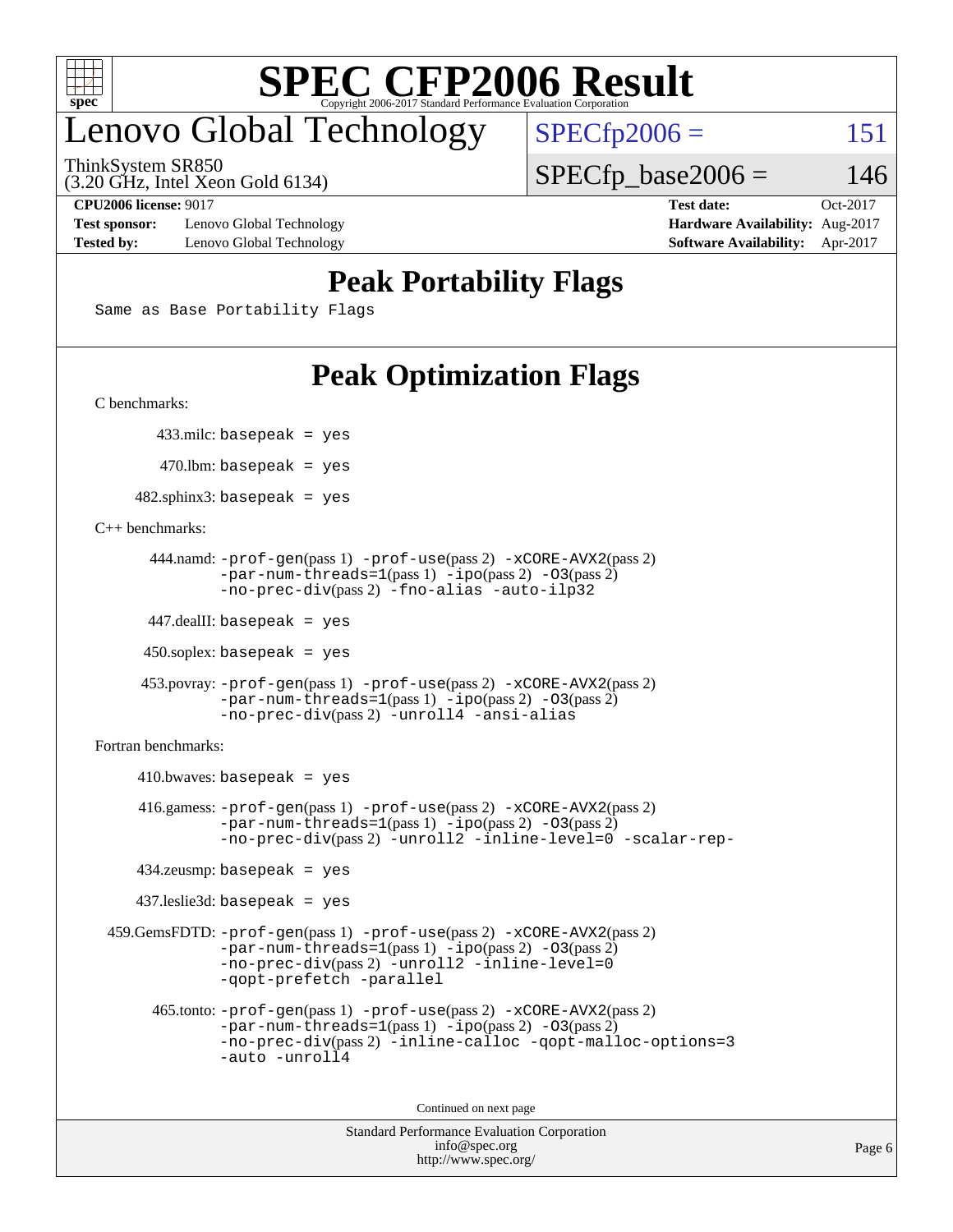

# enovo Global Technology

ThinkSystem SR850

(3.20 GHz, Intel Xeon Gold 6134)

 $SPECfp2006 = 151$  $SPECfp2006 = 151$  $SPECTp\_base2006 = 146$ 

**[Test sponsor:](http://www.spec.org/auto/cpu2006/Docs/result-fields.html#Testsponsor)** Lenovo Global Technology **[Hardware Availability:](http://www.spec.org/auto/cpu2006/Docs/result-fields.html#HardwareAvailability)** Aug-2017 **[Tested by:](http://www.spec.org/auto/cpu2006/Docs/result-fields.html#Testedby)** Lenovo Global Technology **[Software Availability:](http://www.spec.org/auto/cpu2006/Docs/result-fields.html#SoftwareAvailability)** Apr-2017

**[CPU2006 license:](http://www.spec.org/auto/cpu2006/Docs/result-fields.html#CPU2006license)** 9017 **[Test date:](http://www.spec.org/auto/cpu2006/Docs/result-fields.html#Testdate)** Oct-2017

## **[Peak Portability Flags](http://www.spec.org/auto/cpu2006/Docs/result-fields.html#PeakPortabilityFlags)**

Same as Base Portability Flags

# **[Peak Optimization Flags](http://www.spec.org/auto/cpu2006/Docs/result-fields.html#PeakOptimizationFlags)**

[C benchmarks](http://www.spec.org/auto/cpu2006/Docs/result-fields.html#Cbenchmarks):

433.milc: basepeak = yes

 $470.$ lbm: basepeak = yes

 $482$ .sphinx3: basepeak = yes

[C++ benchmarks:](http://www.spec.org/auto/cpu2006/Docs/result-fields.html#CXXbenchmarks)

```
 444.namd: -prof-gen(pass 1) -prof-use(pass 2) -xCORE-AVX2(pass 2)
       -par-num-threads=1(pass 1) -ipo(pass 2) -O3(pass 2)
       -no-prec-div(pass 2) -fno-alias -auto-ilp32
```
447.dealII: basepeak = yes

 $450$ .soplex: basepeak = yes

```
 453.povray: -prof-gen(pass 1) -prof-use(pass 2) -xCORE-AVX2(pass 2)
        -par-num-threads=1-ipo-O3(pass 2)-no-prec-div(pass 2) -unroll4 -ansi-alias
```
[Fortran benchmarks](http://www.spec.org/auto/cpu2006/Docs/result-fields.html#Fortranbenchmarks):

```
410.bwaves: basepeak = yes 416.gamess: -prof-gen(pass 1) -prof-use(pass 2) -xCORE-AVX2(pass 2)
           -par-num-threads=1-ipo-O3(pass 2)-no-prec-div(pass 2) -unroll2 -inline-level=0 -scalar-rep-
   434.zeusmp: basepeak = yes
   437.leslie3d: basepeak = yes
459.GemsFDTD: -prof-gen(pass 1) -prof-use(pass 2) -xCORE-AVX2(pass 2)
           -par-num-threads=1-ipo-O3(pass 2)-no-prec-div(pass 2) -unroll2 -inline-level=0
           -qopt-prefetch -parallel
     465.tonto: -prof-gen(pass 1) -prof-use(pass 2) -xCORE-AVX2(pass 2)
           -par-num-threads=1(pass 1) -ipo(pass 2) -O3(pass 2)
           -no-prec-div-inline-calloc-qopt-malloc-options=3
           -auto -unroll4
```
Continued on next page

```
Standard Performance Evaluation Corporation
            info@spec.org
          http://www.spec.org/
```